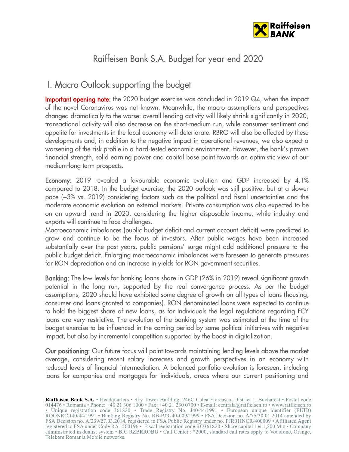

# Raiffeisen Bank S.A. Budget for year-end 2020

## I. Macro Outlook supporting the budget

Important opening note: the 2020 budget exercise was concluded in 2019 Q4, when the impact of the novel Coronavirus was not known. Meanwhile, the macro assumptions and perspectives changed dramatically to the worse: overall lending activity will likely shrink significantly in 2020, transactional activity will also decrease on the short-medium run, while consumer sentiment and appetite for investments in the local economy will deteriorate. RBRO will also be affected by these developments and, in addition to the negative impact in operational revenues, we also expect a worsening of the risk profile in a hard-tested economic environment. However, the bank's proven financial strength, solid earning power and capital base point towards an optimistic view of our medium-long term prospects.

Economy: 2019 revealed a favourable economic evolution and GDP increased by 4.1% compared to 2018. In the budget exercise, the 2020 outlook was still positive, but at a slower pace (+3% vs. 2019) considering factors such as the political and fiscal uncertainties and the moderate economic evolution on external markets. Private consumption was also expected to be on an upward trend in 2020, considering the higher disposable income, while industry and exports will continue to face challenges.

Macroeconomic imbalances (public budget deficit and current account deficit) were predicted to grow and continue to be the focus of investors. After public wages have been increased substantially over the past years, public pensions' surge might add additional pressure to the public budget deficit. Enlarging macroeconomic imbalances were foreseen to generate pressures for RON depreciation and an increase in yields for RON government securities.

Banking: The low levels for banking loans share in GDP (26% in 2019) reveal significant growth potential in the long run, supported by the real convergence process. As per the budget assumptions, 2020 should have exhibited some degree of growth on all types of loans (housing, consumer and loans granted to companies). RON denominated loans were expected to continue to hold the biggest share of new loans, as for Individuals the legal regulations regarding FCY loans are very restrictive. The evolution of the banking system was estimated at the time of the budget exercise to be influenced in the coming period by some political initiatives with negative impact, but also by incremental competition supported by the boost in digitalization.

Our positioning: Our future focus will point towards maintaining lending levels above the market average, considering recent salary increases and growth perspectives in an economy with reduced levels of financial intermediation. A balanced portfolio evolution is foreseen, including loans for companies and mortgages for individuals, areas where our current positioning and

Raiffeisen Bank S.A. • Headquarters • Sky Tower Building, 246C Calea Floreasca, District 1, Bucharest • Postal code 014476 • Romania • Phone: +40 21 306 1000 • Fax: +40 21 230 0700 • E-mail: centrala@raiffeisen.ro • www.ra • Unique registration code 361820 • Trade Registry No. J40/44/1991 • European unique identifier (EUID)<br>ROONRC.J40/44/1991 • Banking Registry No. RB-PJR-40-009/1999 • FSA Decision no. A/75/30.01.2014 amended by FSA Decision no. A/239/27.03.2014, registered in FSA Public Registry under no. PJR01INCR/400009 • Affiliated Agent registered to FSA under Code RAJ 500196 • Fiscal registration code RO361820 • Share capital Lei 1,200 Mio • Company administrated in dualist system • BIC RZBRROBU • Call Center : \*2000, standard call rates apply to Vodafone, Orange, Telekom Romania Mobile networks.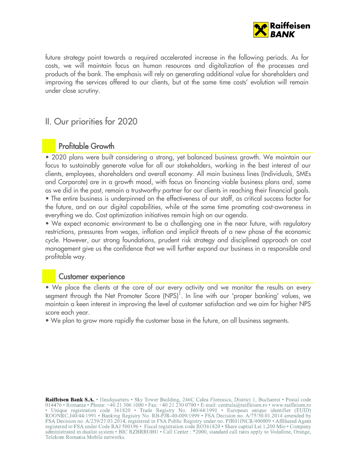

future strategy point towards a required accelerated increase in the following periods. As for costs, we will maintain focus on human resources and digitalization of the processes and products of the bank. The emphasis will rely on generating additional value for shareholders and improving the services offered to our clients, but at the same time costs' evolution will remain under close scrutiny.

### II. Our priorities for 2020

### Profitable Growth

• 2020 plans were built considering a strong, yet balanced business growth. We maintain our focus to sustainably generate value for all our stakeholders, working in the best interest of our clients, employees, shareholders and overall economy. All main business lines (Individuals, SMEs and Corporate) are in a growth mood, with focus on financing viable business plans and, same as we did in the past, remain a trustworthy partner for our clients in reaching their financial goals. • The entire business is underpinned on the effectiveness of our staff, as critical success factor for the future, and on our digital capabilities, while at the same time promoting cost-awareness in everything we do. Cost optimization initiatives remain high on our agenda.

• We expect economic environment to be a challenging one in the near future, with regulatory restrictions, pressures from wages, inflation and implicit threats of a new phase of the economic cycle. However, our strong foundations, prudent risk strategy and disciplined approach on cost management give us the confidence that we will further expand our business in a responsible and profitable way.

#### Customer experience

• We place the clients at the core of our every activity and we monitor the results on every segment through the Net Promoter Score  $(NPS)^1$ . In line with our 'proper banking' values, we maintain a keen interest in improving the level of customer satisfaction and we aim for higher NPS score each year.

• We plan to grow more rapidly the customer base in the future, on all business segments.

Raiffeisen Bank S.A. · Headquarters · Sky Tower Building, 246C Calea Floreasca, District 1, Bucharest · Postal code 014476 • Romania • Phone: +40 21 306 1000 • Fax: +40 21 230 0700 • E-mail: centrala@raiffeisen.ro • www.raiffeisen.ro • Unique registration code 361820 • Trade Registry No. J40/44/1991 • European unique identifier (EUID)<br>ROONRC.J40/44/1991 • Banking Registry No. RB-PJR-40-009/1999 • FSA Decision no. A/75/30.01.2014 amended by FSA Decision no. A/239/27.03.2014, registered in FSA Public Registry under no. PJR01INCR/400009 • Affiliated Agent registered to FSA under Code RAJ 500196 • Fiscal registration code RO361820 • Share capital Lei 1,200 Mio • Company administrated in dualist system • BIC RZBRROBU • Call Center : \*2000, standard call rates apply to Vodafone, Orange, Telekom Romania Mobile networks.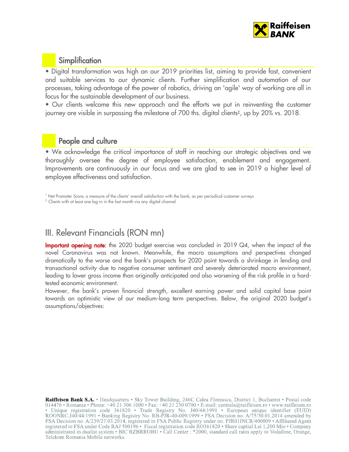

### **Simplification**

• Digital transformation was high on our 2019 priorities list, aiming to provide fast, convenient and suitable services to our dynamic clients. Further simplification and automation of our processes, taking advantage of the power of robotics, driving an 'agile' way of working are all in focus for the sustainable development of our business.

• Our clients welcome this new approach and the efforts we put in reinventing the customer journey are visible in surpassing the milestone of 700 ths. digital clients<sup>2</sup>, up by 20% vs. 2018.

#### People and culture

• We acknowledge the critical importance of staff in reaching our strategic objectives and we thoroughly oversee the degree of employee satisfaction, enablement and engagement. Improvements are continuously in our focus and we are glad to see in 2019 a higher level of employee effectiveness and satisfaction.

## III. Relevant Financials (RON mn)

**Important opening note:** the 2020 budget exercise was concluded in 2019 Q4, when the impact of the novel Coronavirus was not known. Meanwhile, the macro assumptions and perspectives changed dramatically to the worse and the bank's prospects for 2020 point towards a shrinkage in lending and transactional activity due to negative consumer sentiment and severely deteriorated macro environment, leading to lower gross income than originally anticipated and also worsening of the risk profile in a hardtested economic environment.

However, the bank's proven financial strength, excellent earning power and solid capital base point towards an optimistic view of our medium-long term perspectives. Below, the original 2020 budget's assumptions/objectives:

Raiffeisen Bank S.A. • Headquarters • Sky Tower Building, 246C Calea Floreasca, District 1, Bucharest • Postal code 014476 • Romania • Phone: +40 21 306 1000 • Fax: +40 21 230 0700 • E-mail: centrala@raiffeisen.ro • www.raiffeisen.ro • Unique registration code 361820 • Trade Registry No. J40/44/1991 • European unique identifier (EUID)<br>ROONRC.J40/44/1991 • Banking Registry No. RB-PJR-40-009/1999 • FSA Decision no. A/75/30.01.2014 amended by FSA Decision no. A/239/27.03.2014, registered in FSA Public Registry under no. PJR01INCR/400009 • Affiliated Agent registered to FSA under Code RAJ 500196 • Fiscal registration code RO361820 • Share capital Lei 1,200 Mio • Company administrated in dualist system • BIC RZBRROBU • Call Center : \*2000, standard call rates apply to Vodafone, Orange, Telekom Romania Mobile networks.

 $1$  Net Promoter Score, a measure of the clients' overall satisfaction with the bank, as per periodical customer surveys

 $2$  Clients with at least one log-in in the last month via any digital channel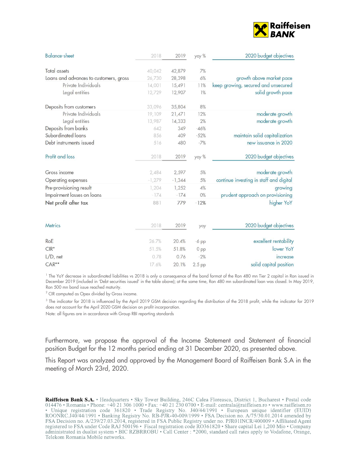

| <b>Balance-sheet</b>                   | 2018     | 2019     | yoy %           | 2020 budget objectives                  |
|----------------------------------------|----------|----------|-----------------|-----------------------------------------|
| <b>Total assets</b>                    | 40,042   | 42,879   | 7%              |                                         |
| Loans and advances to customers, gross | 26,730   | 28,398   | 6%              | growth above market pace                |
| Private Individuals                    | 14,001   | 15,491   | 11%             | keep growing, secured and unsecured     |
| Legal entities                         | 12,729   | 12,907   | 1%              | solid growth pace                       |
| Deposits from customers                | 33,096   | 35,804   | 8%              |                                         |
| Private Individuals                    | 19,109   | 21,471   | 12%             | moderate growth                         |
| Legal entities                         | 13,987   | 14,333   | 2%              | moderate growth                         |
| Deposits from banks                    | 642      | 349      | $-46%$          |                                         |
| Subordinated loans                     | 856      | 409      | $-52%$          | maintain solid capitalization           |
| Debt instruments issued                | 516      | 480      | $-7%$           | new issuance in 2020                    |
| Profit and loss                        | 2018     | 2019     | yoy %           | 2020 budget objectives                  |
| Gross income                           | 2,484    | 2,597    | 5%              | moderate growth                         |
| Operating expenses                     | $-1,279$ | $-1,344$ | 5%              | continue investing in staff and digital |
| Pre-provisioning result                | 1,204    | 1,252    | 4%              | growing                                 |
| Impairment losses on loans             | $-174$   | $-174$   | 0%              | prudent approach on provisioning        |
| Net profit after tax                   | 881      | 779      | $-12%$          | higher YoY                              |
| <b>Metrics</b>                         | 2018     | 2019     |                 | 2020 budget objectives                  |
|                                        |          |          | уоу             |                                         |
| RoE                                    | 26.7%    | 20.4%    | $-6$ pp         | excellent rentability                   |
| $CIR*$                                 | 51.5%    | 51.8%    | 0 <sub>pp</sub> | lower YoY                               |
| $L/D$ , net                            | 0.78     | 0.76     | $-2%$           | increase                                |
| $CAR**$                                | 17.6%    | 20.1%    | $2.5$ pp        | solid capital position                  |

1 The YoY decrease in subordinated liabilities vs 2018 is only a consequence of the bond format of the Ron 480 mn Tier 2 capital in Ron issued in December 2019 (included in 'Debt securities issued' in the table above); at the same time, Ron 480 mn subordinated loan was closed. In May 2019, Ron 500 mn bond issue reached maturity.

 $2$  CIR computed as Opex divided by Gross income.

3 The indicator for 2018 is influenced by the April 2019 GSM decision regarding the distribution of the 2018 profit, while the indicator for 2019 does not account for the April 2020 GSM decision on profit incorporation.

Note: all figures are in accordance with Group RBI reporting standards

Furthermore, we propose the approval of the Income Statement and Statement of financial position Budget for the 12 months period ending at 31 December 2020, as presented above.

This Report was analyzed and approved by the Management Board of Raiffeisen Bank S.A in the meeting of March 23rd, 2020.

Raiffeisen Bank S.A. • Headquarters • Sky Tower Building, 246C Calea Floreasca, District 1, Bucharest • Postal code 014476 • Romania • Phone: +40 21 306 1000 • Fax: +40 21 230 0700 • E-mail: centrala@raiffeisen.ro • www.raiffeisen.ro • Unique registration code 361820 • Trade Registry No. J40/44/1991 • European unique identifier (EUID)<br>ROONRC.J40/44/1991 • Banking Registry No. RB-PJR-40-009/1999 • FSA Decision no. A/75/30.01.2014 amended by FSA Decision no. A/239/27.03.2014, registered in FSA Public Registry under no. PJR01INCR/400009 • Affiliated Agent registered to FSA under Code RAJ 500196 • Fiscal registration code RO361820 • Share capital Lei 1,200 Mio • Company administrated in dualist system • BIC RZBRROBU • Call Center : \*2000, standard call rates apply to Vodafone, Orange, Telekom Romania Mobile networks.